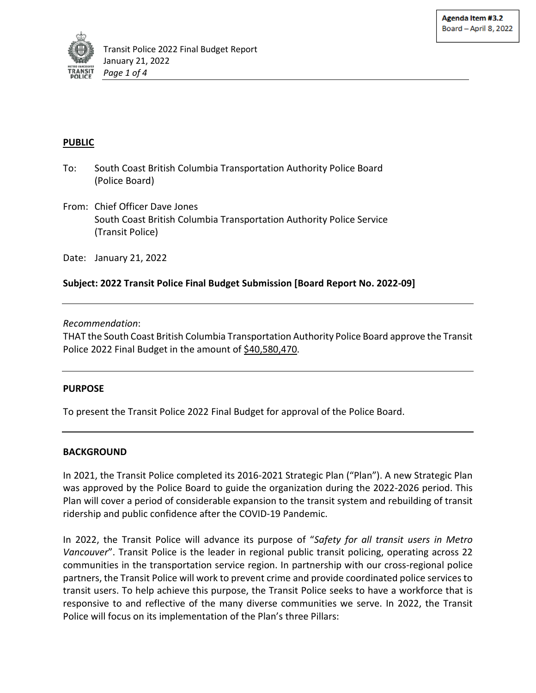

# **PUBLIC**

- To: South Coast British Columbia Transportation Authority Police Board (Police Board)
- From: Chief Officer Dave Jones South Coast British Columbia Transportation Authority Police Service (Transit Police)
- Date: January 21, 2022

# **Subject: 2022 Transit Police Final Budget Submission [Board Report No. 2022-09]**

#### *Recommendation*:

THAT the South Coast British Columbia Transportation Authority Police Board approve the Transit Police 2022 Final Budget in the amount of \$40,580,470.

#### **PURPOSE**

To present the Transit Police 2022 Final Budget for approval of the Police Board.

### **BACKGROUND**

In 2021, the Transit Police completed its 2016-2021 Strategic Plan ("Plan"). A new Strategic Plan was approved by the Police Board to guide the organization during the 2022-2026 period. This Plan will cover a period of considerable expansion to the transit system and rebuilding of transit ridership and public confidence after the COVID-19 Pandemic.

In 2022, the Transit Police will advance its purpose of "*Safety for all transit users in Metro Vancouver*". Transit Police is the leader in regional public transit policing, operating across 22 communities in the transportation service region. In partnership with our cross-regional police partners, the Transit Police will work to prevent crime and provide coordinated police services to transit users. To help achieve this purpose, the Transit Police seeks to have a workforce that is responsive to and reflective of the many diverse communities we serve. In 2022, the Transit Police will focus on its implementation of the Plan's three Pillars: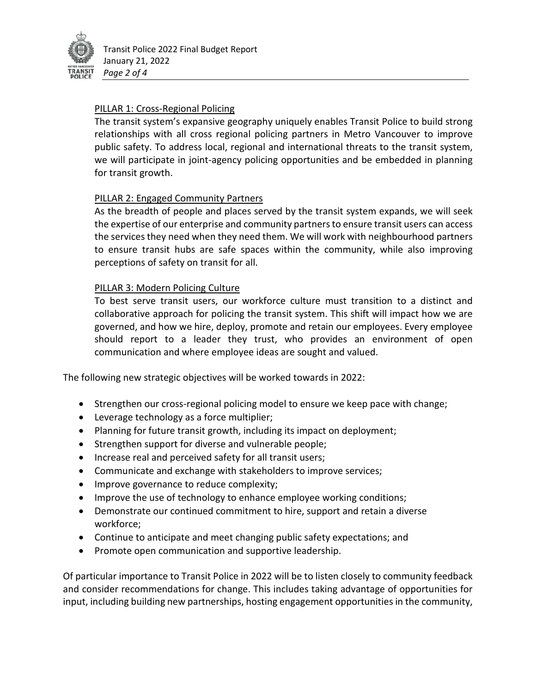

# PILLAR 1: Cross-Regional Policing

The transit system's expansive geography uniquely enables Transit Police to build strong relationships with all cross regional policing partners in Metro Vancouver to improve public safety. To address local, regional and international threats to the transit system, we will participate in joint-agency policing opportunities and be embedded in planning for transit growth.

# PILLAR 2: Engaged Community Partners

As the breadth of people and places served by the transit system expands, we will seek the expertise of our enterprise and community partners to ensure transit users can access the services they need when they need them. We will work with neighbourhood partners to ensure transit hubs are safe spaces within the community, while also improving perceptions of safety on transit for all.

# PILLAR 3: Modern Policing Culture

To best serve transit users, our workforce culture must transition to a distinct and collaborative approach for policing the transit system. This shift will impact how we are governed, and how we hire, deploy, promote and retain our employees. Every employee should report to a leader they trust, who provides an environment of open communication and where employee ideas are sought and valued.

The following new strategic objectives will be worked towards in 2022:

- Strengthen our cross-regional policing model to ensure we keep pace with change;
- Leverage technology as a force multiplier;
- Planning for future transit growth, including its impact on deployment;
- Strengthen support for diverse and vulnerable people;
- Increase real and perceived safety for all transit users;
- Communicate and exchange with stakeholders to improve services;
- Improve governance to reduce complexity;
- Improve the use of technology to enhance employee working conditions;
- Demonstrate our continued commitment to hire, support and retain a diverse workforce;
- Continue to anticipate and meet changing public safety expectations; and
- Promote open communication and supportive leadership.

Of particular importance to Transit Police in 2022 will be to listen closely to community feedback and consider recommendations for change. This includes taking advantage of opportunities for input, including building new partnerships, hosting engagement opportunities in the community,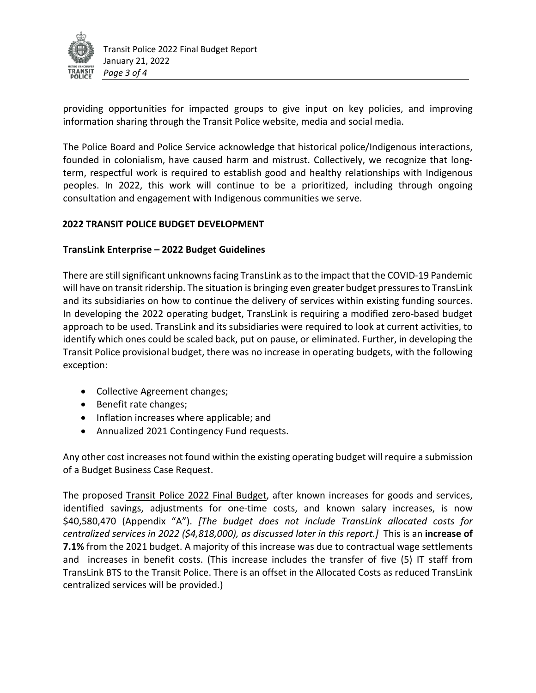

providing opportunities for impacted groups to give input on key policies, and improving information sharing through the Transit Police website, media and social media.

The Police Board and Police Service acknowledge that historical police/Indigenous interactions, founded in colonialism, have caused harm and mistrust. Collectively, we recognize that longterm, respectful work is required to establish good and healthy relationships with Indigenous peoples. In 2022, this work will continue to be a prioritized, including through ongoing consultation and engagement with Indigenous communities we serve.

# **2022 TRANSIT POLICE BUDGET DEVELOPMENT**

### **TransLink Enterprise – 2022 Budget Guidelines**

There are still significant unknowns facing TransLink as to the impact that the COVID-19 Pandemic will have on transit ridership. The situation is bringing even greater budget pressures to TransLink and its subsidiaries on how to continue the delivery of services within existing funding sources. In developing the 2022 operating budget, TransLink is requiring a modified zero-based budget approach to be used. TransLink and its subsidiaries were required to look at current activities, to identify which ones could be scaled back, put on pause, or eliminated. Further, in developing the Transit Police provisional budget, there was no increase in operating budgets, with the following exception:

- Collective Agreement changes;
- Benefit rate changes;
- Inflation increases where applicable; and
- Annualized 2021 Contingency Fund requests.

Any other cost increases not found within the existing operating budget will require a submission of a Budget Business Case Request.

The proposed Transit Police 2022 Final Budget, after known increases for goods and services, identified savings, adjustments for one-time costs, and known salary increases, is now \$40,580,470 (Appendix "A"). *[The budget does not include TransLink allocated costs for centralized services in 2022 (\$4,818,000), as discussed later in this report.]* This is an **increase of 7.1%** from the 2021 budget. A majority of this increase was due to contractual wage settlements and increases in benefit costs. (This increase includes the transfer of five (5) IT staff from TransLink BTS to the Transit Police. There is an offset in the Allocated Costs as reduced TransLink centralized services will be provided.)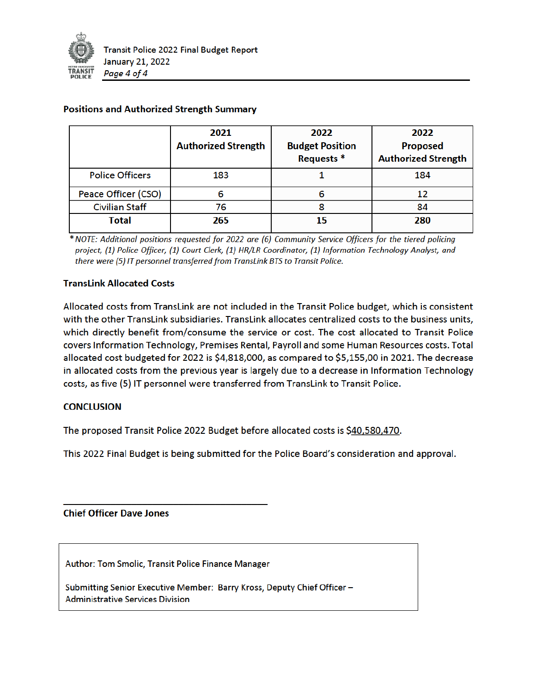

|                        | 2021<br><b>Authorized Strength</b> | 2022<br><b>Budget Position</b><br>Requests <sup>*</sup> | 2022<br><b>Proposed</b><br><b>Authorized Strength</b> |
|------------------------|------------------------------------|---------------------------------------------------------|-------------------------------------------------------|
| <b>Police Officers</b> | 183                                |                                                         | 184                                                   |
| Peace Officer (CSO)    | 6                                  |                                                         |                                                       |
| <b>Civilian Staff</b>  | 76                                 |                                                         | 84                                                    |
| <b>Total</b>           | 265                                | 15                                                      | 280                                                   |

#### **Positions and Authorized Strength Summary**

\* NOTE: Additional positions requested for 2022 are (6) Community Service Officers for the tiered policing project, (1) Police Officer, (1) Court Clerk, (1) HR/LR Coordinator, (1) Information Technology Analyst, and there were (5) IT personnel transferred from TransLink BTS to Transit Police.

### **TransLink Allocated Costs**

Allocated costs from TransLink are not included in the Transit Police budget, which is consistent with the other TransLink subsidiaries. TransLink allocates centralized costs to the business units, which directly benefit from/consume the service or cost. The cost allocated to Transit Police covers Information Technology, Premises Rental, Payroll and some Human Resources costs. Total allocated cost budgeted for 2022 is \$4,818,000, as compared to \$5,155,00 in 2021. The decrease in allocated costs from the previous year is largely due to a decrease in Information Technology costs, as five (5) IT personnel were transferred from TransLink to Transit Police.

### **CONCLUSION**

The proposed Transit Police 2022 Budget before allocated costs is \$40,580,470.

This 2022 Final Budget is being submitted for the Police Board's consideration and approval.

**Chief Officer Dave Jones** 

Author: Tom Smolic, Transit Police Finance Manager

Submitting Senior Executive Member: Barry Kross, Deputy Chief Officer -**Administrative Services Division**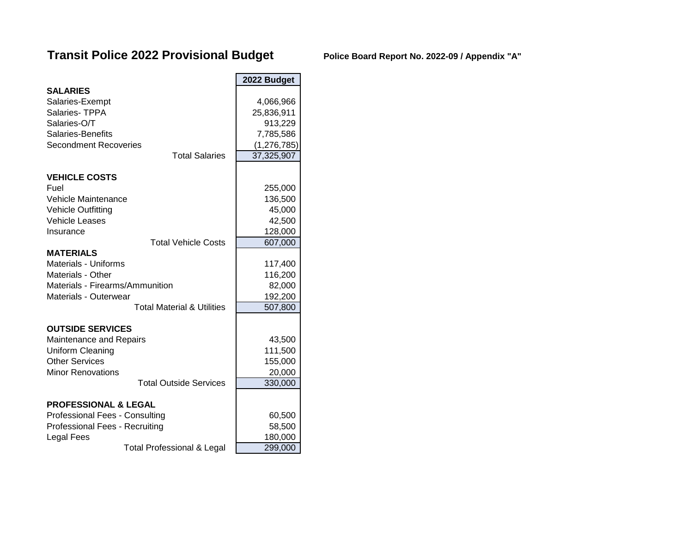# **Transit Police 2022 Provisional Budget Police Board Report No. 2022-09 / Appendix "A"**

|                                                                | 2022 Budget        |
|----------------------------------------------------------------|--------------------|
| <b>SALARIES</b><br>Salaries-Exempt                             | 4,066,966          |
| Salaries-TPPA                                                  | 25,836,911         |
| Salaries-O/T                                                   | 913,229            |
| Salaries-Benefits                                              | 7,785,586          |
| <b>Secondment Recoveries</b>                                   | (1, 276, 785)      |
| <b>Total Salaries</b>                                          | 37,325,907         |
| <b>VEHICLE COSTS</b>                                           |                    |
| Fuel                                                           | 255,000            |
| Vehicle Maintenance                                            | 136,500            |
| <b>Vehicle Outfitting</b>                                      | 45,000             |
| <b>Vehicle Leases</b>                                          | 42,500             |
| Insurance                                                      | 128,000            |
| <b>Total Vehicle Costs</b>                                     | 607,000            |
| <b>MATERIALS</b>                                               |                    |
| <b>Materials - Uniforms</b>                                    | 117,400            |
| Materials - Other<br>Materials - Firearms/Ammunition           | 116,200            |
|                                                                | 82,000             |
| Materials - Outerwear<br><b>Total Material &amp; Utilities</b> | 192,200<br>507,800 |
|                                                                |                    |
| <b>OUTSIDE SERVICES</b>                                        |                    |
| Maintenance and Repairs                                        | 43,500             |
| Uniform Cleaning                                               | 111,500            |
| <b>Other Services</b>                                          | 155,000            |
| <b>Minor Renovations</b>                                       | 20,000             |
| <b>Total Outside Services</b>                                  | 330,000            |
| <b>PROFESSIONAL &amp; LEGAL</b>                                |                    |
| Professional Fees - Consulting                                 | 60,500             |
| Professional Fees - Recruiting                                 | 58,500             |
| Legal Fees                                                     | 180,000            |
| Total Professional & Legal                                     | 299.000            |

Total Professional & Legal **299,000**